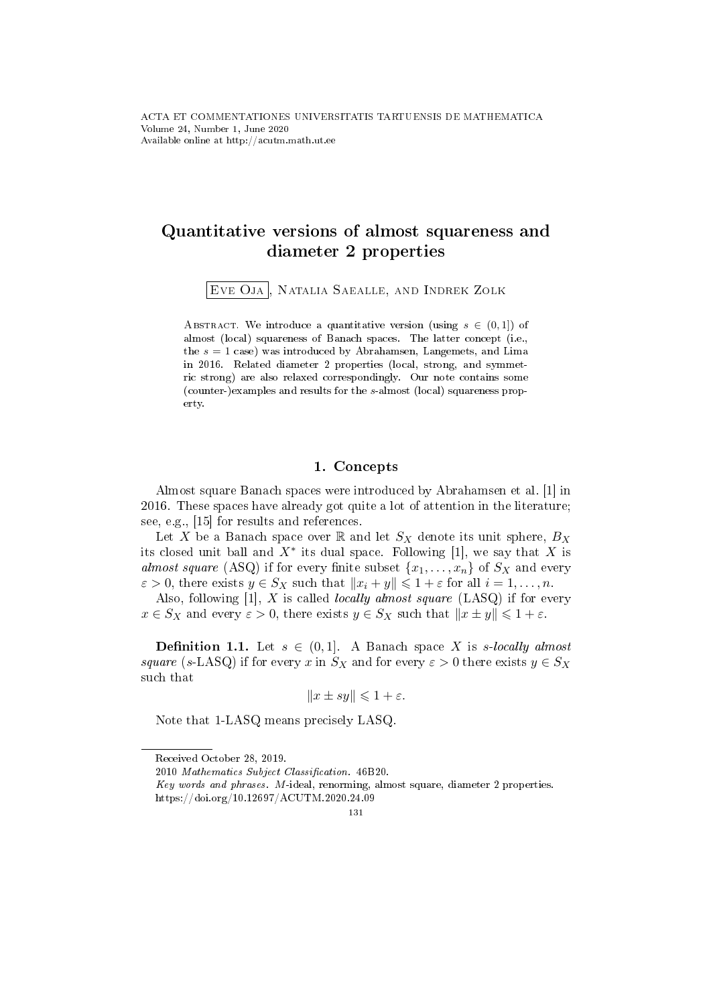# Quantitative versions of almost squareness and diameter 2 properties

Eve Oja , Natalia Saealle, and Indrek Zolk

ABSTRACT. We introduce a quantitative version (using  $s \in (0,1]$ ) of almost (local) squareness of Banach spaces. The latter concept (i.e., the  $s = 1$  case) was introduced by Abrahamsen, Langemets, and Lima in 2016. Related diameter 2 properties (local, strong, and symmetric strong) are also relaxed correspondingly. Our note contains some (counter-)examples and results for the s-almost (local) squareness property.

### 1. Concepts

Almost square Banach spaces were introduced by Abrahamsen et al. [1] in 2016. These spaces have already got quite a lot of attention in the literature; see, e.g., [15] for results and references.

Let X be a Banach space over  $\mathbb R$  and let  $S_X$  denote its unit sphere,  $B_X$ its closed unit ball and  $X^*$  its dual space. Following [1], we say that X is almost square (ASQ) if for every finite subset  $\{x_1, \ldots, x_n\}$  of  $S_X$  and every  $\varepsilon > 0$ , there exists  $y \in S_X$  such that  $||x_i + y|| \leq 1 + \varepsilon$  for all  $i = 1, ..., n$ .

Also, following  $[1]$ , X is called *locally almost square*  $(LASQ)$  if for every  $x \in S_X$  and every  $\varepsilon > 0$ , there exists  $y \in S_X$  such that  $||x \pm y|| \leq 1 + \varepsilon$ .

**Definition 1.1.** Let  $s \in (0,1]$ . A Banach space X is s-locally almost square (s-LASQ) if for every x in  $S_X$  and for every  $\varepsilon > 0$  there exists  $y \in S_X$ such that

$$
||x \pm sy|| \leq 1 + \varepsilon.
$$

Note that 1-LASQ means precisely LASQ.

Received October 28, 2019.

<sup>2010</sup> Mathematics Subject Classification. 46B20.

Key words and phrases. M-ideal, renorming, almost square, diameter 2 properties. https://doi.org/10.12697/ACUTM.2020.24.09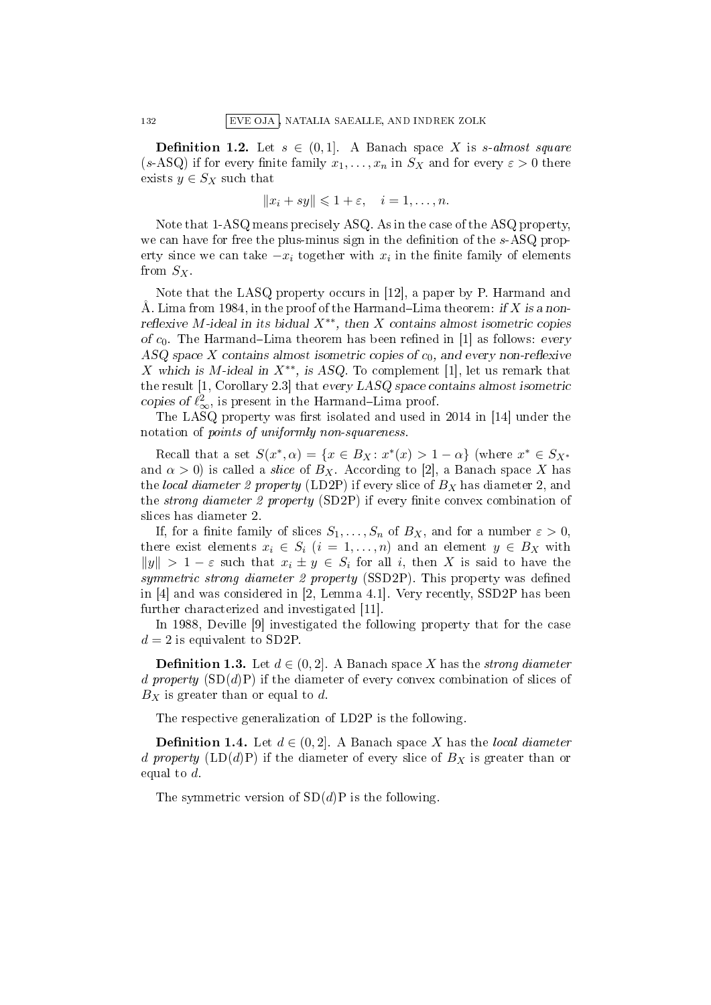**Definition 1.2.** Let  $s \in (0,1]$ . A Banach space X is s-almost square (s-ASQ) if for every finite family  $x_1, \ldots, x_n$  in  $S_X$  and for every  $\varepsilon > 0$  there exists  $y \in S_X$  such that

$$
||x_i + sy|| \leq 1 + \varepsilon, \quad i = 1, \dots, n.
$$

Note that 1-ASQ means precisely ASQ. As in the case of the ASQ property, we can have for free the plus-minus sign in the definition of the  $s$ -ASQ property since we can take  $-x_i$  together with  $x_i$  in the finite family of elements from  $S_X$ .

Note that the LASQ property occurs in [12], a paper by P. Harmand and Å. Lima from 1984, in the proof of the Harmand–Lima theorem: if X is a nonreflexive M-ideal in its bidual  $X^{**}$ , then X contains almost isometric copies of  $c_0$ . The Harmand–Lima theorem has been refined in [1] as follows: every ASQ space X contains almost isometric copies of  $c_0$ , and every non-reflexive X which is M-ideal in  $X^{**}$ , is ASQ. To complement [1], let us remark that the result [1, Corollary 2.3] that every LASQ space contains almost isometric copies of  $\ell_{\infty}^2$ , is present in the Harmand–Lima proof.

The LASQ property was first isolated and used in 2014 in [14] under the notation of points of uniformly non-squareness.

Recall that a set  $S(x^*, \alpha) = \{x \in B_X : x^*(x) > 1 - \alpha\}$  (where  $x^* \in S_{X^*}$ and  $\alpha > 0$ ) is called a *slice* of  $B_X$ . According to [2], a Banach space X has the local diameter 2 property (LD2P) if every slice of  $B<sub>X</sub>$  has diameter 2, and the *strong diameter 2 property* (SD2P) if every finite convex combination of slices has diameter 2.

If, for a finite family of slices  $S_1, \ldots, S_n$  of  $B_X$ , and for a number  $\varepsilon > 0$ , there exist elements  $x_i \in S_i$   $(i = 1, \ldots, n)$  and an element  $y \in B_X$  with  $||y|| > 1 - \varepsilon$  such that  $x_i \pm y \in S_i$  for all i, then X is said to have the symmetric strong diameter 2 property (SSD2P). This property was defined in [4] and was considered in [2, Lemma 4.1]. Very recently, SSD2P has been further characterized and investigated [11].

In 1988, Deville [9] investigated the following property that for the case  $d=2$  is equivalent to SD2P.

**Definition 1.3.** Let  $d \in (0, 2]$ . A Banach space X has the *strong diameter* d property  $(SD(d)P)$  if the diameter of every convex combination of slices of  $B_X$  is greater than or equal to d.

The respective generalization of LD2P is the following.

**Definition 1.4.** Let  $d \in (0, 2]$ . A Banach space X has the local diameter d property  $(LD(d)P)$  if the diameter of every slice of  $B<sub>X</sub>$  is greater than or equal to d.

The symmetric version of  $SD(d)P$  is the following.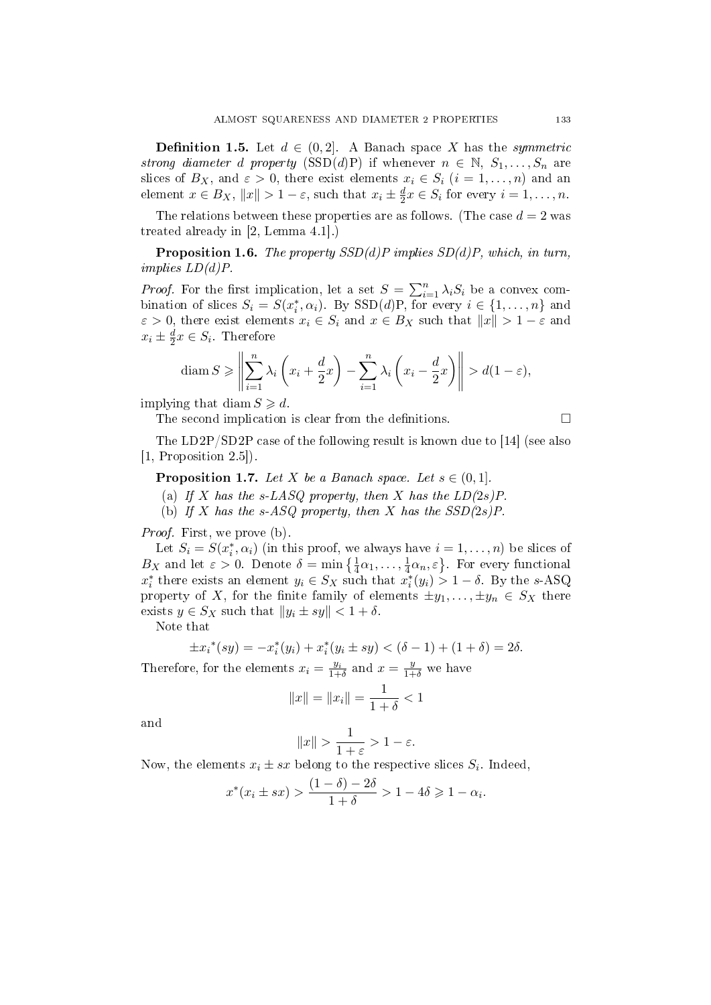**Definition 1.5.** Let  $d \in (0, 2]$ . A Banach space X has the *symmetric* strong diameter d property (SSD(d)P) if whenever  $n \in \mathbb{N}, S_1, \ldots, S_n$  are slices of  $B_X$ , and  $\varepsilon > 0$ , there exist elements  $x_i \in S_i$   $(i = 1, ..., n)$  and an element  $x \in B_X$ ,  $||x|| > 1 - \varepsilon$ , such that  $x_i \pm \frac{d}{2}$  $\frac{d}{2}x \in S_i$  for every  $i = 1, \ldots, n$ .

The relations between these properties are as follows. (The case  $d = 2$  was treated already in [2, Lemma 4.1].)

**Proposition 1.6.** The property  $SSD(d)P$  implies  $SD(d)P$ , which, in turn,  $implies LD(d)P$ .

*Proof.* For the first implication, let a set  $S = \sum_{i=1}^{n} \lambda_i S_i$  be a convex combination of slices  $S_i = S(x_i^*, \alpha_i)$ . By  $SSD(d)P$ , for every  $i \in \{1, ..., n\}$  and  $\varepsilon > 0$ , there exist elements  $x_i \in S_i$  and  $x \in B_X$  such that  $||x|| > 1 - \varepsilon$  and  $x_i \pm \frac{d}{2}$  $\frac{d}{2}x \in S_i$ . Therefore

$$
\operatorname{diam} S \ge \left\| \sum_{i=1}^n \lambda_i \left( x_i + \frac{d}{2} x \right) - \sum_{i=1}^n \lambda_i \left( x_i - \frac{d}{2} x \right) \right\| > d(1 - \varepsilon),
$$

implying that diam  $S \ge d$ .

The second implication is clear from the definitions.

The LD2P/SD2P case of the following result is known due to [14] (see also [1, Proposition 2.5]).

**Proposition 1.7.** Let X be a Banach space. Let  $s \in (0,1]$ .

(a) If X has the s-LASQ property, then X has the  $LD(2s)P$ .

(b) If X has the s-ASQ property, then X has the  $SSD(2s)P$ .

Proof. First, we prove (b).

Let  $S_i = S(x_i^*, \alpha_i)$  (in this proof, we always have  $i = 1, \ldots, n$ ) be slices of  $B_X$  and let  $\varepsilon > 0$ . Denote  $\delta = \min\left\{\frac{1}{4}\alpha_1,\ldots,\frac{1}{4}\right\}$  $\frac{1}{4}\alpha_n, \varepsilon$ . For every functional  $x_i^*$  there exists an element  $y_i \in S_X$  such that  $x_i^*(y_i) > 1 - \delta$ . By the s-ASQ property of X, for the finite family of elements  $\pm y_1, \ldots, \pm y_n \in S_X$  there exists  $y \in S_X$  such that  $||y_i \pm sy|| < 1 + \delta$ .

Note that

$$
\pm x_i^*(sy) = -x_i^*(y_i) + x_i^*(y_i \pm sy) < (\delta - 1) + (1 + \delta) = 2\delta.
$$

Therefore, for the elements  $x_i = \frac{y_i}{1+\delta}$  and  $x = \frac{y}{1+\delta}$  we have

$$
||x|| = ||x_i|| = \frac{1}{1+\delta} < 1
$$

and

$$
||x|| > \frac{1}{1+\varepsilon} > 1-\varepsilon.
$$

Now, the elements  $x_i \pm sx$  belong to the respective slices  $S_i$ . Indeed,

$$
x^*(x_i \pm sx) > \frac{(1-\delta)-2\delta}{1+\delta} > 1 - 4\delta \geq 1 - \alpha_i.
$$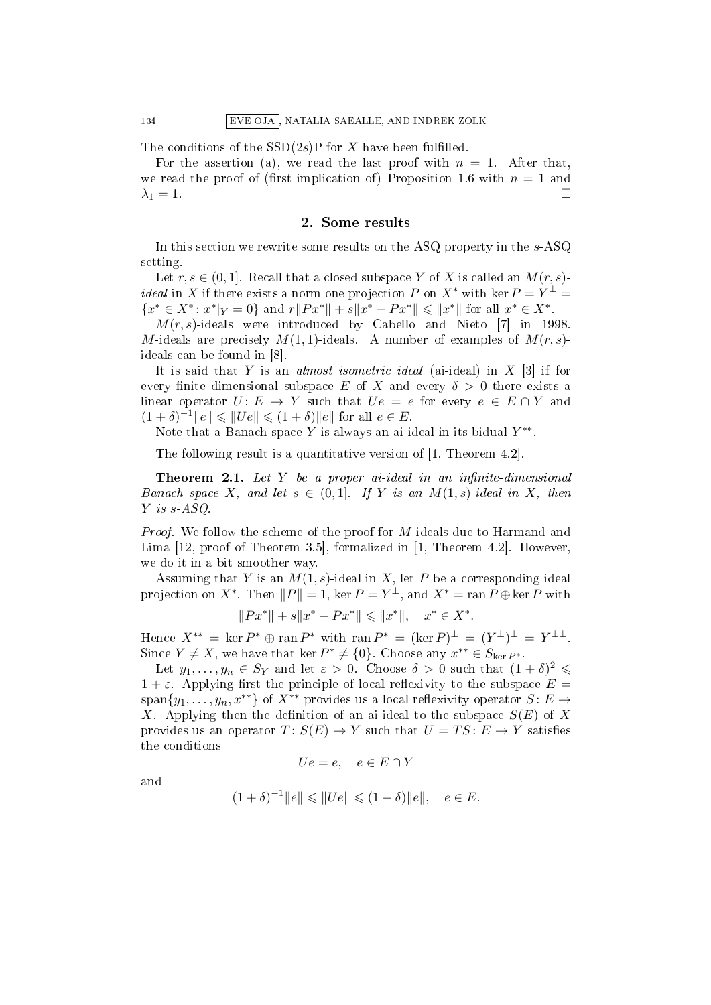The conditions of the  $SSD(2s)P$  for X have been fulfilled.

For the assertion (a), we read the last proof with  $n = 1$ . After that, we read the proof of (first implication of) Proposition 1.6 with  $n = 1$  and  $\lambda_1 = 1$ .

#### 2. Some results

In this section we rewrite some results on the ASQ property in the s-ASQ setting.

Let  $r, s \in (0, 1]$ . Recall that a closed subspace Y of X is called an  $M(r, s)$ . *ideal* in X if there exists a norm one projection P on  $X^*$  with ker  $P = Y^{\perp} = Y$  ${x^* \in X^* : x^*|_Y = 0}$  and  $r||Px^*|| + s||x^* - Px^*|| \le ||x^*||$  for all  $x^* \in X^*$ .

 $M(r, s)$ -ideals were introduced by Cabello and Nieto [7] in 1998. M-ideals are precisely  $M(1, 1)$ -ideals. A number of examples of  $M(r, s)$ ideals can be found in [8].

It is said that Y is an *almost isometric ideal* (ai-ideal) in  $X$  [3] if for every finite dimensional subspace E of X and every  $\delta > 0$  there exists a linear operator  $U: E \to Y$  such that  $Ue = e$  for every  $e \in E \cap Y$  and  $(1 + \delta)^{-1} \|e\| \leq \|U e\| \leq (1 + \delta) \|e\|$  for all  $e \in E$ .

Note that a Banach space Y is always an ai-ideal in its bidual  $Y^{**}$ .

The following result is a quantitative version of [1, Theorem 4.2].

**Theorem 2.1.** Let Y be a proper ai-ideal in an infinite-dimensional Banach space X, and let  $s \in (0,1]$ . If Y is an  $M(1,s)$ -ideal in X, then Y is s-ASQ.

Proof. We follow the scheme of the proof for M-ideals due to Harmand and Lima [12, proof of Theorem 3.5], formalized in [1, Theorem 4.2]. However, we do it in a bit smoother way.

Assuming that Y is an  $M(1, s)$ -ideal in X, let P be a corresponding ideal projection on  $X^*$ . Then  $||P|| = 1$ , ker  $P = Y^{\perp}$ , and  $X^* = \text{ran } P \oplus \text{ker } P$  with

$$
||Px^*|| + s||x^* - Px^*|| \le ||x^*||, \quad x^* \in X^*.
$$

Hence  $X^{**} = \ker P^* \oplus \operatorname{ran} P^*$  with  $\operatorname{ran} P^* = (\ker P)^{\perp} = (Y^{\perp})^{\perp} = Y^{\perp \perp}$ . Since  $Y \neq X$ , we have that ker  $P^* \neq \{0\}$ . Choose any  $x^{**} \in S_{\text{ker }P^*}$ .

Let  $y_1, \ldots, y_n \in S_Y$  and let  $\varepsilon > 0$ . Choose  $\delta > 0$  such that  $(1 + \delta)^2 \leq$  $1 + \varepsilon$ . Applying first the principle of local reflexivity to the subspace  $E =$ span $\{y_1, \ldots, y_n, x^{**}\}\$  of  $X^{**}$  provides us a local reflexivity operator  $S: E \to$ X. Applying then the definition of an ai-ideal to the subspace  $S(E)$  of X provides us an operator  $T: S(E) \to Y$  such that  $U = TS: E \to Y$  satisfies the conditions

$$
Ue = e, \quad e \in E \cap Y
$$

and

$$
(1+\delta)^{-1}||e|| \le ||Ue|| \le (1+\delta)||e||, \quad e \in E.
$$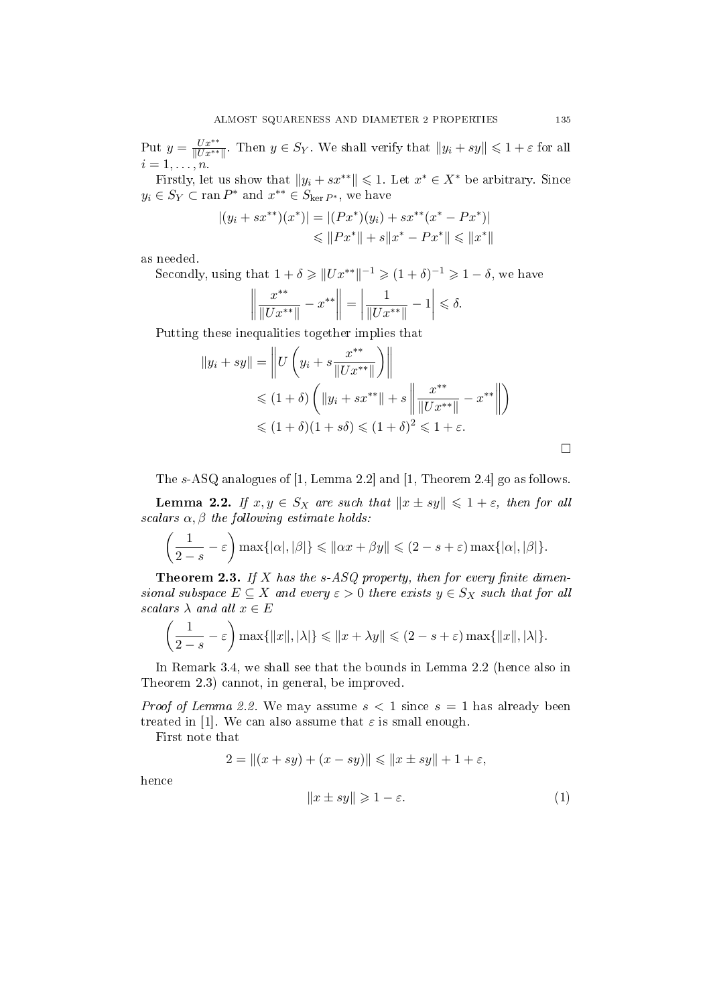Put  $y = \frac{Ux^{**}}{||Ux^{**}||}$  $\frac{Ux^{**}}{\|Ux^{**}\|}$ . Then  $y \in S_Y$ . We shall verify that  $\|y_i + sy\| \leq 1 + \varepsilon$  for all  $i=1,\ldots,n$ .

Firstly, let us show that  $||y_i + sx^{**}|| \leq 1$ . Let  $x^* \in X^*$  be arbitrary. Since  $y_i \in S_Y \subset \operatorname{ran} P^*$  and  $x^{**} \in S_{\ker P^*}$ , we have

$$
|(y_i + sx^{**})(x^*)| = |(Px^*)(y_i) + sx^{**}(x^* - Px^*)|
$$
  
\n
$$
\leq ||Px^*|| + s||x^* - Px^*|| \leq ||x^*||
$$

as needed.

Secondly, using that  $1 + \delta \geq ||Ux^{**}||^{-1} \geq (1 + \delta)^{-1} \geq 1 - \delta$ , we have

$$
\left\| \frac{x^{**}}{\|Ux^{**}\|} - x^{**} \right\| = \left| \frac{1}{\|Ux^{**}\|} - 1 \right| \le \delta.
$$

Putting these inequalities together implies that

$$
||y_i + sy|| = \left\| U\left(y_i + s \frac{x^{**}}{||Ux^{**}||}\right) \right\|
$$
  
\n
$$
\leq (1 + \delta) \left( ||y_i + sx^{**}|| + s \left\| \frac{x^{**}}{||Ux^{**}||} - x^{**} \right\| \right)
$$
  
\n
$$
\leq (1 + \delta)(1 + s\delta) \leq (1 + \delta)^2 \leq 1 + \varepsilon.
$$

The s-ASQ analogues of [1, Lemma 2.2] and [1, Theorem 2.4] go as follows.

**Lemma 2.2.** If  $x, y \in S_X$  are such that  $||x \pm sy|| \leq 1 + \varepsilon$ , then for all scalars  $\alpha, \beta$  the following estimate holds:

$$
\left(\frac{1}{2-s}-\varepsilon\right)\max\{|\alpha|,|\beta|\}\leqslant\|\alpha x+\beta y\|\leqslant(2-s+\varepsilon)\max\{|\alpha|,|\beta|\}.
$$

**Theorem 2.3.** If X has the s-ASQ property, then for every finite dimensional subspace  $E \subseteq X$  and every  $\varepsilon > 0$  there exists  $y \in S_X$  such that for all scalars  $\lambda$  and all  $x \in E$ 

$$
\left(\frac{1}{2-s}-\varepsilon\right)\max\{\|x\|,|\lambda|\}\leqslant\|x+\lambda y\|\leqslant(2-s+\varepsilon)\max\{\|x\|,|\lambda|\}.
$$

In Remark 3.4, we shall see that the bounds in Lemma 2.2 (hence also in Theorem 2.3) cannot, in general, be improved.

*Proof of Lemma 2.2.* We may assume  $s < 1$  since  $s = 1$  has already been treated in [1]. We can also assume that  $\varepsilon$  is small enough.

First note that

$$
2 = ||(x + sy) + (x - sy)|| \le ||x \pm sy|| + 1 + \varepsilon,
$$

hence

$$
||x \pm sy|| \geqslant 1 - \varepsilon. \tag{1}
$$

 $\Box$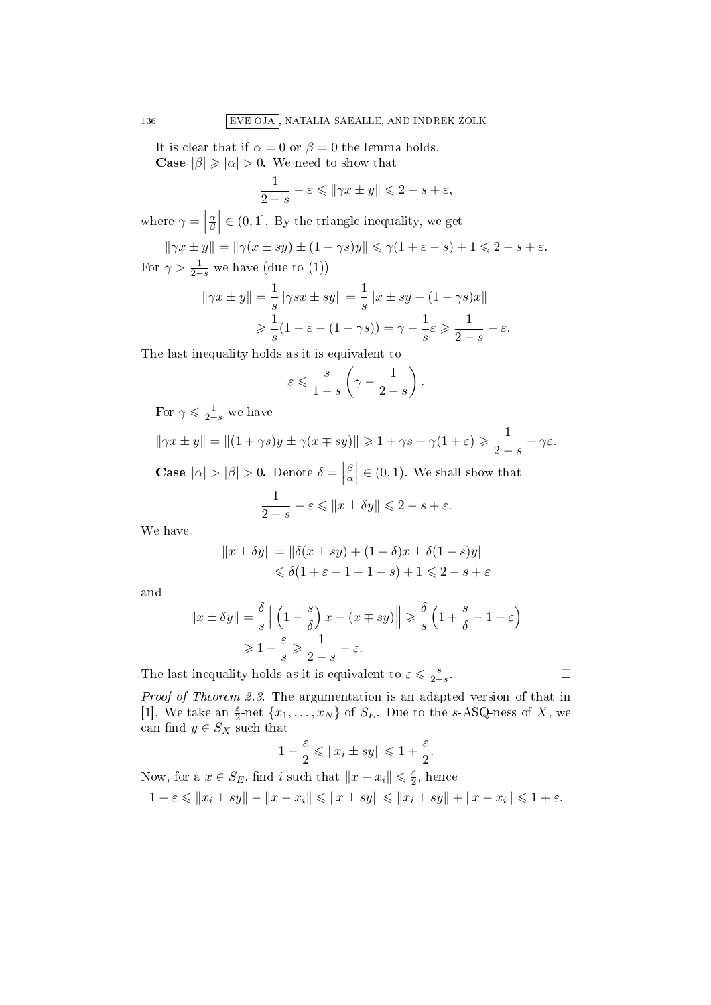It is clear that if  $\alpha = 0$  or  $\beta = 0$  the lemma holds. **Case**  $|\beta| \ge |\alpha| > 0$ . We need to show that

$$
\frac{1}{2-s} - \varepsilon \leqslant \| \gamma x \pm y \| \leqslant 2 - s + \varepsilon,
$$

where  $\gamma =$ α  $\left| \frac{\alpha}{\beta} \right| \in (0,1]$ . By the triangle inequality, we get

 $\|\gamma x \pm y\| = \|\gamma (x \pm sy) \pm (1 - \gamma s)y\| \leqslant \gamma (1 + \varepsilon - s) + 1 \leqslant 2 - s + \varepsilon.$ For  $\gamma > \frac{1}{2-s}$  we have (due to (1))

$$
\|\gamma x \pm y\| = \frac{1}{s} \|\gamma sx \pm sy\| = \frac{1}{s} \|x \pm sy - (1 - \gamma s)x\|
$$
  

$$
\geq \frac{1}{s} (1 - \varepsilon - (1 - \gamma s)) = \gamma - \frac{1}{s} \varepsilon \geq \frac{1}{2 - s} - \varepsilon.
$$

The last inequality holds as it is equivalent to

$$
\varepsilon \leqslant \frac{s}{1-s}\left(\gamma-\frac{1}{2-s}\right).
$$

For  $\gamma \leqslant \frac{1}{2-s}$  we have

 $\|\gamma x \pm y\| = \|(1 + \gamma s)y \pm \gamma(x \mp sy)\| \geqslant 1 + \gamma s - \gamma(1 + \varepsilon) \geqslant \frac{1}{2}$  $\frac{1}{2-s}-\gamma \varepsilon.$ 

**Case**  $|\alpha| > |\beta| > 0$ . Denote  $\delta =$ β  $\left| \frac{\beta}{\alpha} \right| \in (0,1)$ . We shall show that

$$
\frac{1}{2-s} - \varepsilon \leqslant \|x \pm \delta y\| \leqslant 2 - s + \varepsilon.
$$

We have

$$
||x \pm \delta y|| = ||\delta(x \pm sy) + (1 - \delta)x \pm \delta(1 - s)y||
$$
  
\n
$$
\leq \delta(1 + \varepsilon - 1 + 1 - s) + 1 \leq 2 - s + \varepsilon
$$

and

$$
||x \pm \delta y|| = \frac{\delta}{s} ||\left(1 + \frac{s}{\delta}\right)x - (x \mp sy)|| \ge \frac{\delta}{s} \left(1 + \frac{s}{\delta} - 1 - \varepsilon\right)
$$
  
\n
$$
\ge 1 - \frac{\varepsilon}{s} \ge \frac{1}{2 - s} - \varepsilon.
$$
  
\ninequality holds as it is equivalent to  $\varepsilon \le \frac{s}{2 - s}.$ 

The last inequality holds as it is equivalent to  $\varepsilon \leqslant \frac{s}{2-s}$ 

Proof of Theorem 2.3. The argumentation is an adapted version of that in [1]. We take an  $\frac{\varepsilon}{2}$ -net  $\{x_1, \ldots, x_N\}$  of  $S_E$ . Due to the s-ASQ-ness of X, we can find  $y \in S_X$  such that

$$
1 - \frac{\varepsilon}{2} \leqslant ||x_i \pm sy|| \leqslant 1 + \frac{\varepsilon}{2}.
$$

Now, for a  $x \in S_E$ , find i such that  $||x - x_i|| \leq \frac{\varepsilon}{2}$  $\frac{\varepsilon}{2}$ , hence  $1 - \varepsilon \leq \|x_i \pm sy\| - \|x - x_i\| \leq \|x \pm sy\| \leq \|x_i \pm sy\| + \|x - x_i\| \leq 1 + \varepsilon.$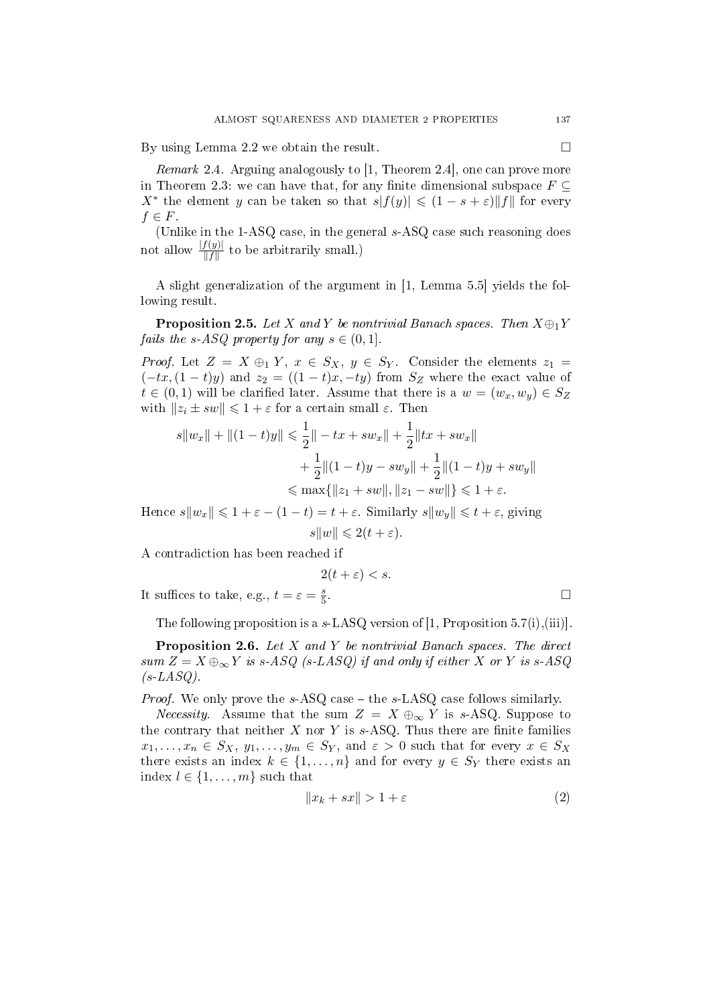By using Lemma 2.2 we obtain the result.

Remark 2.4. Arguing analogously to [1, Theorem 2.4], one can prove more in Theorem 2.3: we can have that, for any finite dimensional subspace  $F \subseteq$  $X^*$  the element y can be taken so that  $s|f(y)| \leq (1-s+\varepsilon) \|f\|$  for every  $f \in F$ .

(Unlike in the 1-ASQ case, in the general s-ASQ case such reasoning does not allow  $\frac{|f(y)|}{\|f\|}$  to be arbitrarily small.)

A slight generalization of the argument in [1, Lemma 5.5] yields the following result.

**Proposition 2.5.** Let X and Y be nontrivial Banach spaces. Then  $X \oplus_1 Y$ *fails the s-ASQ property for any*  $s \in (0,1]$ .

*Proof.* Let  $Z = X \oplus_1 Y$ ,  $x \in S_X$ ,  $y \in S_Y$ . Consider the elements  $z_1 =$  $(-tx,(1-t)y)$  and  $z_2 = ((1-t)x,-ty)$  from  $S_z$  where the exact value of  $t \in (0,1)$  will be clarified later. Assume that there is a  $w = (w_x, w_y) \in S_Z$ with  $||z_i \pm sw|| \leq 1 + \varepsilon$  for a certain small  $\varepsilon$ . Then

$$
s||w_x|| + ||(1-t)y|| \le \frac{1}{2}||-tx + sw_x|| + \frac{1}{2}||tx + sw_x||
$$
  
+ 
$$
\frac{1}{2}||(1-t)y - sw_y|| + \frac{1}{2}||(1-t)y + sw_y||
$$
  

$$
\le max\{||z_1 + sw||, ||z_1 - sw||\} \le 1 + \varepsilon.
$$

Hence  $s||w_x|| \leq 1 + \varepsilon - (1 - t) = t + \varepsilon$ . Similarly  $s||w_y|| \leq t + \varepsilon$ , giving

$$
s||w|| \leq 2(t+\varepsilon).
$$

A contradiction has been reached if

 $2(t+\varepsilon) < s.$ 

It suffices to take, e.g.,  $t = \varepsilon = \frac{s}{5}$ 5

The following proposition is a  $s$ -LASQ version of [1, Proposition 5.7(i),(iii)].

Proposition 2.6. Let X and Y be nontrivial Banach spaces. The direct sum  $Z = X \oplus_{\infty} Y$  is s-ASQ (s-LASQ) if and only if either X or Y is s-ASQ  $(s-LASQ)$ .

*Proof.* We only prove the  $s$ -ASQ case  $-$  the  $s$ -LASQ case follows similarly.

*Necessity.* Assume that the sum  $Z = X \oplus_{\infty} Y$  is s-ASQ. Suppose to the contrary that neither  $X$  nor  $Y$  is  $s$ -ASQ. Thus there are finite families  $x_1, \ldots, x_n \in S_X$ ,  $y_1, \ldots, y_m \in S_Y$ , and  $\varepsilon > 0$  such that for every  $x \in S_X$ there exists an index  $k \in \{1, ..., n\}$  and for every  $y \in S_Y$  there exists an index  $l \in \{1, \ldots, m\}$  such that

$$
||x_k + sx|| > 1 + \varepsilon \tag{2}
$$

.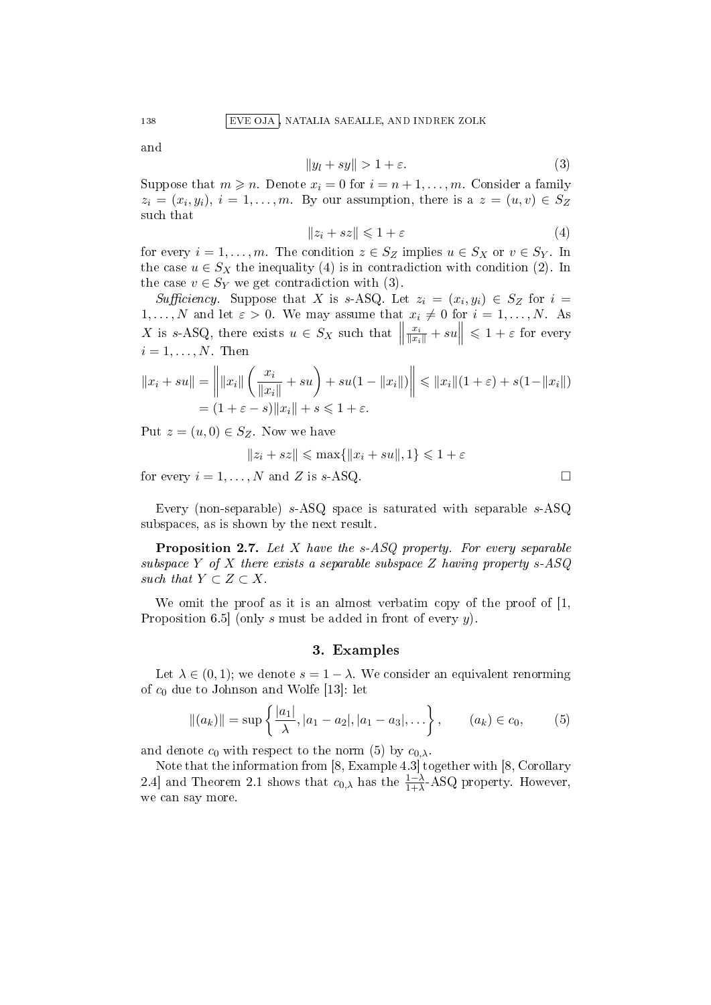138 EVE OJA , NATALIA SAEALLE, AND INDREK ZOLK

and

$$
||y_l + sy|| > 1 + \varepsilon. \tag{3}
$$

Suppose that  $m \geq n$ . Denote  $x_i = 0$  for  $i = n+1, \ldots, m$ . Consider a family  $z_i = (x_i, y_i), i = 1, \ldots, m$ . By our assumption, there is a  $z = (u, v) \in S_Z$ such that

$$
||z_i + sz|| \leq 1 + \varepsilon \tag{4}
$$

for every  $i = 1, \ldots, m$ . The condition  $z \in S_Z$  implies  $u \in S_X$  or  $v \in S_Y$ . In the case  $u \in S_X$  the inequality (4) is in contradiction with condition (2). In the case  $v \in S_Y$  we get contradiction with (3).

Sufficiency. Suppose that X is s-ASQ. Let  $z_i = (x_i, y_i) \in S_Z$  for  $i =$  $1, \ldots, N$  and let  $\varepsilon > 0$ . We may assume that  $x_i \neq 0$  for  $i = 1, \ldots, N$ . As X is s-ASQ, there exists  $u \in S_X$  such that  $\parallel$  $\frac{x_i}{\|x_i\|} + su \Big\| \leqslant 1 + \varepsilon$  for every  $i = 1, \ldots, N$ . Then

$$
||x_i + su|| = \left\| ||x_i|| \left( \frac{x_i}{||x_i||} + su \right) + su(1 - ||x_i||) \right\| \le ||x_i|| (1 + \varepsilon) + s(1 - ||x_i||)
$$
  
=  $(1 + \varepsilon - s) ||x_i|| + s \le 1 + \varepsilon$ .

Put  $z = (u, 0) \in S_Z$ . Now we have

 $||z_i + sz|| \leq \max{||x_i + su||, 1} \leq 1 + \varepsilon$ 

for every  $i = 1, ..., N$  and Z is s-ASQ.

Every (non-separable) s-ASQ space is saturated with separable s-ASQ subspaces, as is shown by the next result.

**Proposition 2.7.** Let X have the  $s$ -ASQ property. For every separable subspace Y of X there exists a separable subspace Z having property  $s$ -ASQ such that  $Y \subset Z \subset X$ .

We omit the proof as it is an almost verbatim copy of the proof of [1, Proposition 6.5 (only s must be added in front of every  $y$ ).

# 3. Examples

Let  $\lambda \in (0,1)$ ; we denote  $s = 1 - \lambda$ . We consider an equivalent renorming of  $c_0$  due to Johnson and Wolfe [13]: let

$$
\|(a_k)\| = \sup \left\{ \frac{|a_1|}{\lambda}, |a_1 - a_2|, |a_1 - a_3|, \ldots \right\}, \qquad (a_k) \in c_0, \tag{5}
$$

and denote  $c_0$  with respect to the norm (5) by  $c_{0,\lambda}$ .

Note that the information from [8, Example 4.3] together with [8, Corollary 2.4] and Theorem 2.1 shows that  $c_{0,\lambda}$  has the  $\frac{1-\lambda}{1+\lambda}$ -ASQ property. However, we can say more.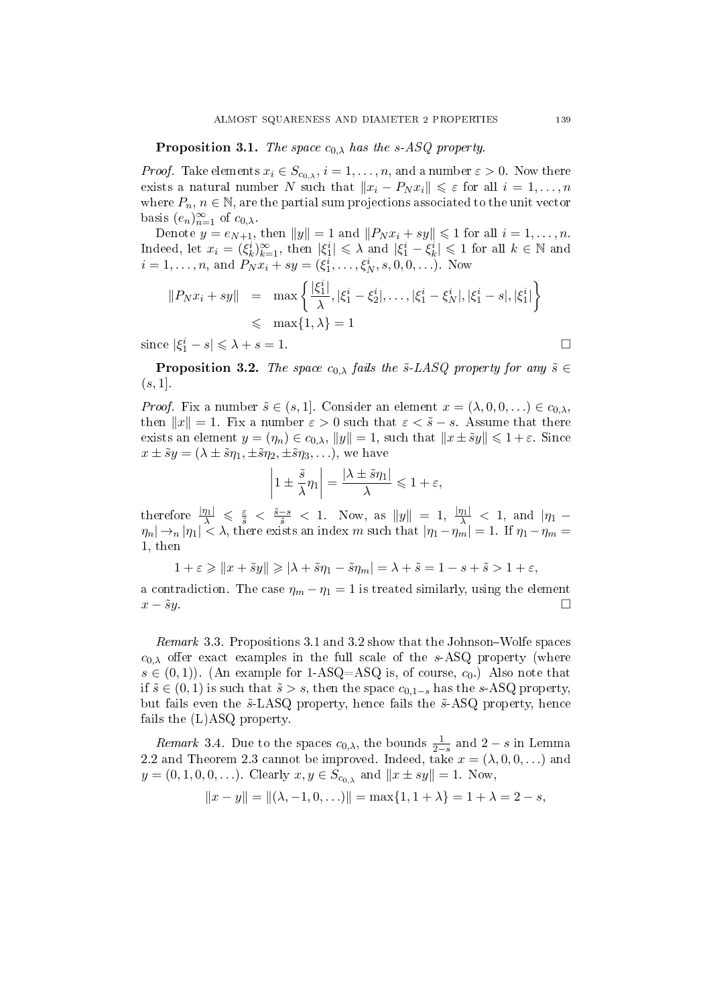**Proposition 3.1.** The space  $c_{0,\lambda}$  has the s-ASQ property.

*Proof.* Take elements  $x_i \in S_{c_0,\lambda}$ ,  $i = 1, \ldots, n$ , and a number  $\varepsilon > 0$ . Now there exists a natural number N such that  $||x_i - P_N x_i|| \leq \varepsilon$  for all  $i = 1, ..., n$ where  $P_n, n \in \mathbb{N}$ , are the partial sum projections associated to the unit vector basis  $(e_n)_{n=1}^{\infty}$  of  $c_{0,\lambda}$ .

Denote  $y = e_{N+1}$ , then  $||y|| = 1$  and  $||P_N x_i + sy|| \leq 1$  for all  $i = 1, ..., n$ . Indeed, let  $x_i = (\xi_k^i)_{k=1}^{\infty}$ , then  $|\xi_1^i| \leq \lambda$  and  $|\xi_1^i - \xi_k^i| \leq 1$  for all  $k \in \mathbb{N}$  and  $i = 1, \ldots, n$ , and  $P_N x_i + s y = (\xi_1^i, \ldots, \xi_N^i, s, 0, 0, \ldots)$ . Now

$$
||P_N x_i + sy|| = \max \left\{ \frac{|\xi_1^i|}{\lambda}, |\xi_1^i - \xi_2^i|, \dots, |\xi_1^i - \xi_N^i|, |\xi_1^i - s|, |\xi_1^i| \right\}
$$
  
\$\leq\$  $\max\{1, \lambda\} = 1$ 

since  $|\xi_1^i - s| \leq \lambda + s = 1$ .

**Proposition 3.2.** The space  $c_{0,\lambda}$  fails the  $\tilde{s}$ -LASQ property for any  $\tilde{s} \in$  $(s, 1].$ 

*Proof.* Fix a number  $\tilde{s} \in (s, 1]$ . Consider an element  $x = (\lambda, 0, 0, \ldots) \in c_{0,\lambda}$ , then  $||x|| = 1$ . Fix a number  $\varepsilon > 0$  such that  $\varepsilon < \tilde{s} - s$ . Assume that there exists an element  $y = (\eta_n) \in c_{0,\lambda}$ ,  $||y|| = 1$ , such that  $||x \pm \tilde{s}y|| \leq 1 + \varepsilon$ . Since  $x \pm \tilde{s}y = (\lambda \pm \tilde{s}\eta_1, \pm \tilde{s}\eta_2, \pm \tilde{s}\eta_3, \ldots),$  we have

$$
\left|1 \pm \frac{\tilde{s}}{\lambda} \eta_1\right| = \frac{|\lambda \pm \tilde{s} \eta_1|}{\lambda} \leq 1 + \varepsilon,
$$

therefore  $\frac{|\eta_1|}{\lambda} \leqslant \frac{\varepsilon}{\tilde{s}} < \frac{\tilde{s}-s}{\tilde{s}} < 1$ . Now, as  $||y|| = 1$ ,  $\frac{|\eta_1|}{\lambda} < 1$ , and  $|\eta_1 \eta_n|\rightarrow_n|\eta_1|<\lambda,$  there exists an index m such that  $|\eta_1-\eta_m|=1.$  If  $\eta_1-\eta_m=1$ 1, then

$$
1+\varepsilon\geqslant \|x+\tilde{s}y\|\geqslant|\lambda+\tilde{s}\eta_1-\tilde{s}\eta_m|=\lambda+\tilde{s}=1-s+\tilde{s}>1+\varepsilon,
$$

a contradiction. The case  $\eta_m - \eta_1 = 1$  is treated similarly, using the element  $x - \tilde{s}y$  .

Remark 3.3. Propositions 3.1 and 3.2 show that the Johnson–Wolfe spaces  $c_{0,\lambda}$  offer exact examples in the full scale of the s-ASQ property (where  $s \in (0,1)$ . (An example for 1-ASQ=ASQ is, of course,  $c_0$ .) Also note that if  $\tilde{s} \in (0, 1)$  is such that  $\tilde{s} > s$ , then the space  $c_{0,1-s}$  has the s-ASQ property, but fails even the  $\tilde{s}$ -LASQ property, hence fails the  $\tilde{s}$ -ASQ property, hence fails the (L)ASQ property.

*Remark* 3.4. Due to the spaces  $c_{0,\lambda}$ , the bounds  $\frac{1}{2-s}$  and  $2-s$  in Lemma 2.2 and Theorem 2.3 cannot be improved. Indeed, take  $x = (\lambda, 0, 0, \ldots)$  and  $y = (0, 1, 0, 0, \ldots)$ . Clearly  $x, y \in S_{c_{0,\lambda}}$  and  $||x \pm sy|| = 1$ . Now,

$$
||x - y|| = ||(\lambda, -1, 0, \ldots)|| = \max\{1, 1 + \lambda\} = 1 + \lambda = 2 - s,
$$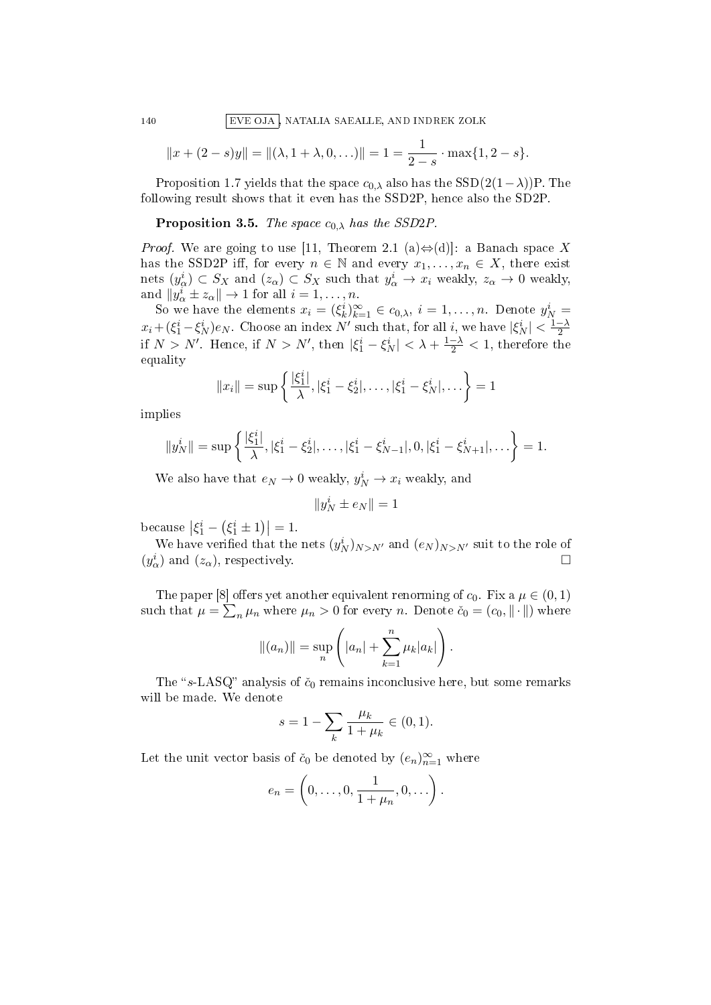140 EVE OJA , NATALIA SAEALLE, AND INDREK ZOLK

$$
||x + (2 - s)y|| = ||(\lambda, 1 + \lambda, 0, \ldots)|| = 1 = \frac{1}{2 - s} \cdot \max\{1, 2 - s\}.
$$

Proposition 1.7 yields that the space  $c_{0,\lambda}$  also has the SSD(2(1− $\lambda$ ))P. The following result shows that it even has the SSD2P, hence also the SD2P.

#### **Proposition 3.5.** The space  $c_{0,\lambda}$  has the SSD2P.

*Proof.* We are going to use [11, Theorem 2.1 (a) $\Leftrightarrow$ (d)]: a Banach space X has the SSD2P iff, for every  $n \in \mathbb{N}$  and every  $x_1, \ldots, x_n \in X$ , there exist nets  $(y_\alpha^i) \subset S_X$  and  $(z_\alpha) \subset S_X$  such that  $y_\alpha^i \to x_i$  weakly,  $z_\alpha \to 0$  weakly, and  $||y^i_\alpha \pm z_\alpha|| \to 1$  for all  $i = 1, \ldots, n$ .

So we have the elements  $x_i = (\xi_k^i)_{k=1}^\infty \in c_{0,\lambda}, i = 1, \ldots, n$ . Denote  $y_N^i =$  $x_i + (\xi_1^i - \xi_N^i)e_N$ . Choose an index N' such that, for all i, we have  $|\xi_N^i| < \frac{1-\lambda}{2}$ 2 if  $N > N'$ . Hence, if  $N > N'$ , then  $|\xi_1^i - \xi_N^i| < \lambda + \frac{1-\lambda}{2} < 1$ , therefore the equality

$$
||x_i|| = \sup \left\{ \frac{|\xi_1^i|}{\lambda}, |\xi_1^i - \xi_2^i|, \dots, |\xi_1^i - \xi_N^i|, \dots \right\} = 1
$$

implies

$$
||y_N^i|| = \sup \left\{ \frac{|\xi_1^i|}{\lambda}, |\xi_1^i - \xi_2^i|, \dots, |\xi_1^i - \xi_{N-1}^i|, 0, |\xi_1^i - \xi_{N+1}^i|, \dots \right\} = 1.
$$

We also have that  $e_N \to 0$  weakly,  $y_N^i \to x_i$  weakly, and

$$
\|y_N^i\pm e_N\|=1
$$

because  $|\xi_1^i - (\xi_1^i \pm 1)| = 1$ .

We have verified that the nets  $(y_N^i)_{N>N'}$  and  $(e_N)_{N>N'}$  suit to the role of  $(y^i_\alpha)$  and  $(z_\alpha)$ , respectively.

The paper [8] offers yet another equivalent renorming of  $c_0$ . Fix a  $\mu \in (0,1)$ such that  $\mu = \sum_n \mu_n$  where  $\mu_n > 0$  for every n. Denote  $\check{c}_0 = (c_0, \|\cdot\|)$  where

$$
||(a_n)|| = \sup_n (|a_n| + \sum_{k=1}^n \mu_k |a_k|).
$$

The " $s$ -LASQ" analysis of  $\check{c}_0$  remains inconclusive here, but some remarks will be made. We denote

$$
s = 1 - \sum_{k} \frac{\mu_k}{1 + \mu_k} \in (0, 1).
$$

Let the unit vector basis of  $\check{c}_0$  be denoted by  $(e_n)_{n=1}^{\infty}$  where

$$
e_n = \left(0, \ldots, 0, \frac{1}{1 + \mu_n}, 0, \ldots\right).
$$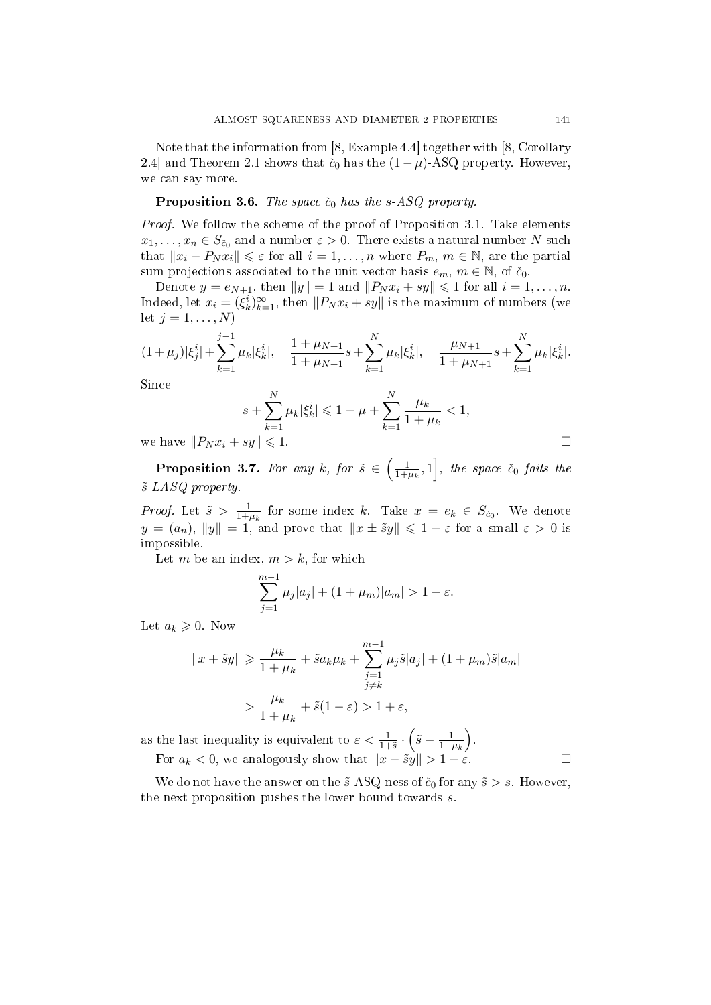Note that the information from [8, Example 4.4] together with [8, Corollary 2.4] and Theorem 2.1 shows that  $\check{c}_0$  has the  $(1 - \mu)$ -ASQ property. However, we can say more.

## **Proposition 3.6.** The space  $\check{c}_0$  has the s-ASQ property.

Proof. We follow the scheme of the proof of Proposition 3.1. Take elements  $x_1, \ldots, x_n \in S_{\check{c}_0}$  and a number  $\varepsilon > 0$ . There exists a natural number N such that  $||x_i - P_N x_i|| \leq \varepsilon$  for all  $i = 1, ..., n$  where  $P_m$ ,  $m \in \mathbb{N}$ , are the partial sum projections associated to the unit vector basis  $e_m$ ,  $m \in \mathbb{N}$ , of  $\check{c}_0$ .

Denote  $y = e_{N+1}$ , then  $||y|| = 1$  and  $||P_N x_i + sy|| \leq 1$  for all  $i = 1, ..., n$ . Indeed, let  $x_i = (\xi_k^i)_{k=1}^{\infty}$ , then  $||P_N x_i + sy||$  is the maximum of numbers (we let  $j = 1, \ldots, N$ 

$$
(1+\mu_j)|\xi_j^i|+\sum_{k=1}^{j-1}\mu_k|\xi_k^i|, \quad \frac{1+\mu_{N+1}}{1+\mu_{N+1}}s+\sum_{k=1}^N\mu_k|\xi_k^i|, \quad \frac{\mu_{N+1}}{1+\mu_{N+1}}s+\sum_{k=1}^N\mu_k|\xi_k^i|.
$$

Since

$$
s + \sum_{k=1}^{N} \mu_k |\xi_k^i| \leq 1 - \mu + \sum_{k=1}^{N} \frac{\mu_k}{1 + \mu_k} < 1,
$$

we have  $||P_N x_i + sy|| \leq 1$ .

**Proposition 3.7.** For any k, for  $\tilde{s} \in \left(\frac{1}{1+r}\right)$  $\left[\frac{1}{1+\mu_k},1\right]$ , the space  $\check{c}_0$  fails the  $\tilde{s}$ -LASQ property.

*Proof.* Let  $\tilde{s} > \frac{1}{1+s}$  $\frac{1}{1+\mu_k}$  for some index k. Take  $x = e_k \in S_{\check{c}_0}$ . We denote  $y = (a_n)$ ,  $||y|| = 1$ , and prove that  $||x \pm \tilde{s}y|| \leq 1 + \varepsilon$  for a small  $\varepsilon > 0$  is impossible.

Let m be an index,  $m > k$ , for which

$$
\sum_{j=1}^{m-1} \mu_j |a_j| + (1 + \mu_m)|a_m| > 1 - \varepsilon.
$$

Let  $a_k \geqslant 0$ . Now

$$
||x + \tilde{s}y|| \ge \frac{\mu_k}{1 + \mu_k} + \tilde{s}a_k\mu_k + \sum_{\substack{j=1 \ j \ne k}}^{m-1} \mu_j \tilde{s}|a_j| + (1 + \mu_m)\tilde{s}|a_m|
$$
  
> 
$$
\frac{\mu_k}{1 + \mu_k} + \tilde{s}(1 - \varepsilon) > 1 + \varepsilon,
$$

as the last inequality is equivalent to  $\varepsilon < \frac{1}{1+\tilde{s}} \cdot (\tilde{s} - \frac{1}{1+\varepsilon})$  $1+\mu_k$  . For  $a_k < 0$ , we analogously show that  $||x - \tilde{s}y|| > 1 + \varepsilon$ .

We do not have the answer on the  $\tilde{s}$ -ASQ-ness of  $\tilde{c}_0$  for any  $\tilde{s} > s$ . However, the next proposition pushes the lower bound towards  $s$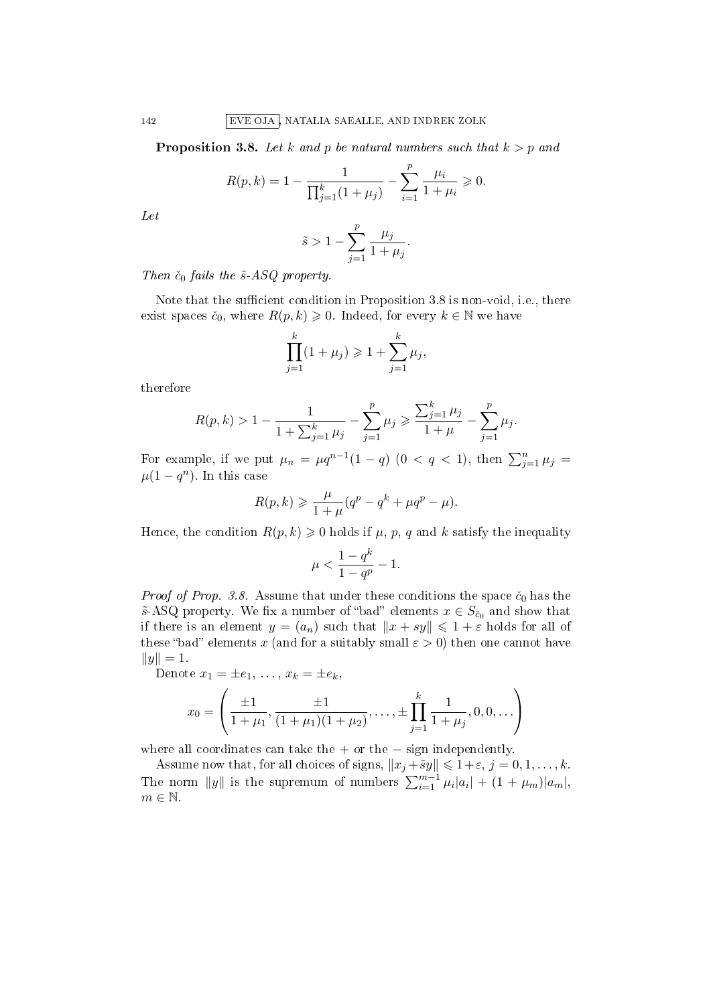142 EVE OJA , NATALIA SAEALLE, AND INDREK ZOLK

**Proposition 3.8.** Let k and p be natural numbers such that  $k > p$  and

$$
R(p,k) = 1 - \frac{1}{\prod_{j=1}^{k} (1 + \mu_j)} - \sum_{i=1}^{p} \frac{\mu_i}{1 + \mu_i} \ge 0.
$$

Let

$$
\tilde{s} > 1 - \sum_{j=1}^p \frac{\mu_j}{1 + \mu_j}.
$$

Then  $\check{c}_0$  fails the  $\tilde{s}$ -ASQ property.

Note that the sufficient condition in Proposition 3.8 is non-void, i.e., there exist spaces  $\check{c}_0$ , where  $R(p, k) \geq 0$ . Indeed, for every  $k \in \mathbb{N}$  we have

$$
\prod_{j=1}^{k} (1 + \mu_j) \ge 1 + \sum_{j=1}^{k} \mu_j,
$$

therefore

$$
R(p,k) > 1 - \frac{1}{1 + \sum_{j=1}^{k} \mu_j} - \sum_{j=1}^{p} \mu_j \ge \frac{\sum_{j=1}^{k} \mu_j}{1 + \mu} - \sum_{j=1}^{p} \mu_j.
$$

For example, if we put  $\mu_n = \mu q^{n-1}(1-q)$   $(0 < q < 1)$ , then  $\sum_{j=1}^n \mu_j =$  $\mu(1-q^n)$ . In this case

$$
R(p,k) \geqslant \frac{\mu}{1+\mu}(q^p - q^k + \mu q^p - \mu).
$$

Hence, the condition  $R(p, k) \geq 0$  holds if  $\mu$ ,  $p$ ,  $q$  and  $k$  satisfy the inequality

$$
\mu < \frac{1-q^k}{1-q^p} - 1.
$$

*Proof of Prop. 3.8.* Assume that under these conditions the space  $\check{c}_0$  has the  $\tilde{s}$ -ASQ property. We fix a number of "bad" elements  $x \in S_{\tilde{c}_0}$  and show that if there is an element  $y = (a_n)$  such that  $||x + sy|| \leq 1 + \varepsilon$  holds for all of these "bad" elements x (and for a suitably small  $\varepsilon > 0$ ) then one cannot have  $||y|| = 1.$ 

Denote  $x_1 = \pm e_1, \ldots, x_k = \pm e_k$ 

$$
x_0 = \left(\frac{\pm 1}{1+\mu_1}, \frac{\pm 1}{(1+\mu_1)(1+\mu_2)}, \dots, \pm \prod_{j=1}^k \frac{1}{1+\mu_j}, 0, 0, \dots\right)
$$

where all coordinates can take the  $+$  or the  $-$  sign independently.

Assume now that, for all choices of signs,  $||x_j + \tilde{s}y|| \leq 1 + \varepsilon$ ,  $j = 0, 1, \ldots, k$ . The norm  $||y||$  is the supremum of numbers  $\sum_{i=1}^{m-1} \mu_i |a_i| + (1 + \mu_m)|a_m|$ ,  $m \in \mathbb{N}$ .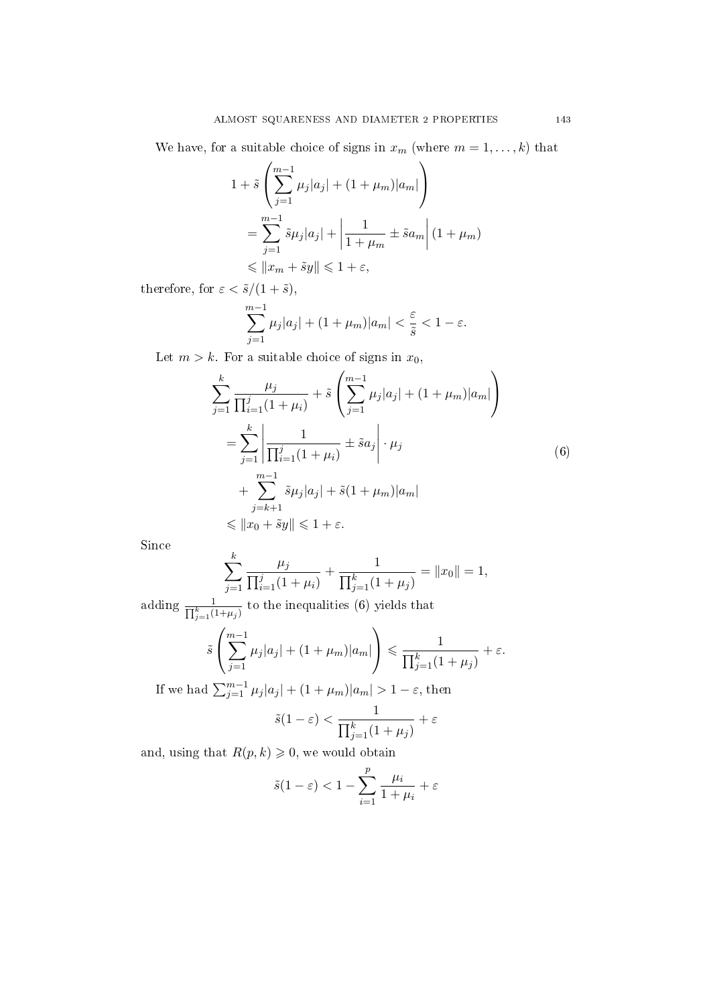We have, for a suitable choice of signs in  $x_m$  (where  $m = 1, \ldots, k$ ) that

$$
1 + \tilde{s} \left( \sum_{j=1}^{m-1} \mu_j |a_j| + (1 + \mu_m) |a_m| \right)
$$
  
= 
$$
\sum_{j=1}^{m-1} \tilde{s} \mu_j |a_j| + \left| \frac{1}{1 + \mu_m} \pm \tilde{s} a_m \right| (1 + \mu_m)
$$
  

$$
\leq \|x_m + \tilde{s} y\| \leq 1 + \varepsilon,
$$

therefore, for  $\varepsilon < \tilde{s}/(1+\tilde{s}),$ 

$$
\sum_{j=1}^{m-1} \mu_j |a_j| + (1 + \mu_m)|a_m| < \frac{\varepsilon}{\tilde{s}} < 1 - \varepsilon.
$$

Let  $m > k$ . For a suitable choice of signs in  $x_0$ ,

$$
\sum_{j=1}^{k} \frac{\mu_j}{\prod_{i=1}^{j} (1 + \mu_i)} + \tilde{s} \left( \sum_{j=1}^{m-1} \mu_j |a_j| + (1 + \mu_m) |a_m| \right)
$$
  
= 
$$
\sum_{j=1}^{k} \left| \frac{1}{\prod_{i=1}^{j} (1 + \mu_i)} \pm \tilde{s} a_j \right| \cdot \mu_j
$$
  
+ 
$$
\sum_{j=k+1}^{m-1} \tilde{s} \mu_j |a_j| + \tilde{s} (1 + \mu_m) |a_m|
$$
  
\$\leq |x\_0 + \tilde{s}y| \leq 1 + \varepsilon\$.

Since

$$
\sum_{j=1}^{k} \frac{\mu_j}{\prod_{i=1}^{j} (1 + \mu_i)} + \frac{1}{\prod_{j=1}^{k} (1 + \mu_j)} = ||x_0|| = 1,
$$

adding  $\frac{1}{\prod_{j=1}^k (1+\mu_j)}$  to the inequalities (6) yields that

$$
\tilde{s}\left(\sum_{j=1}^{m-1}\mu_j|a_j| + (1+\mu_m)|a_m|\right) \leq \frac{1}{\prod_{j=1}^k(1+\mu_j)} + \varepsilon.
$$

If we had  $\sum_{j=1}^{m-1} \mu_j |a_j| + (1 + \mu_m)|a_m| > 1 - \varepsilon$ , then

$$
\tilde{s}(1-\varepsilon) < \frac{1}{\prod_{j=1}^k (1+\mu_j)} + \varepsilon
$$

and, using that  $R(p, k) \geqslant 0$ , we would obtain

$$
\tilde{s}(1-\varepsilon) < 1 - \sum_{i=1}^{p} \frac{\mu_i}{1+\mu_i} + \varepsilon
$$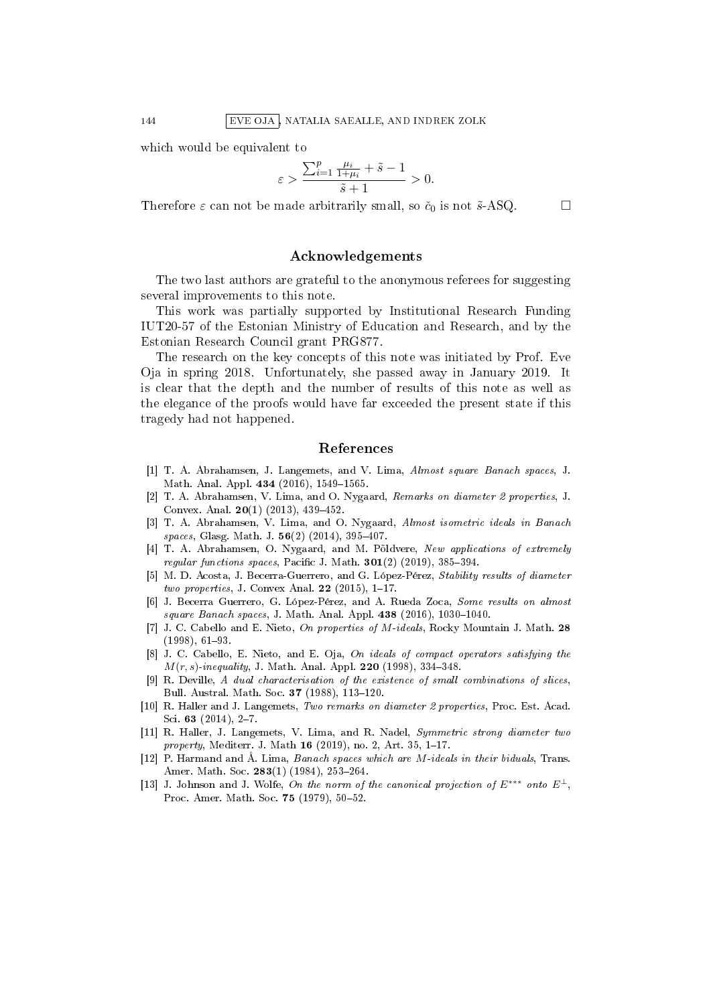which would be equivalent to

$$
\varepsilon > \frac{\sum_{i=1}^p \frac{\mu_i}{1+\mu_i} + \tilde{s}-1}{\tilde{s}+1} > 0.
$$

Therefore  $\varepsilon$  can not be made arbitrarily small, so  $\check{c}_0$  is not  $\check{s}$ -ASQ.

## Acknowledgements

The two last authors are grateful to the anonymous referees for suggesting several improvements to this note.

This work was partially supported by Institutional Research Funding IUT20-57 of the Estonian Ministry of Education and Research, and by the Estonian Research Council grant PRG877.

The research on the key concepts of this note was initiated by Prof. Eve Oja in spring 2018. Unfortunately, she passed away in January 2019. It is clear that the depth and the number of results of this note as well as the elegance of the proofs would have far exceeded the present state if this tragedy had not happened.

#### References

- [1] T. A. Abrahamsen, J. Langemets, and V. Lima, Almost square Banach spaces, J. Math. Anal. Appl. 434 (2016), 1549-1565.
- [2] T. A. Abrahamsen, V. Lima, and O. Nygaard, Remarks on diameter 2 properties, J. Convex. Anal.  $20(1)$  (2013), 439-452.
- [3] T. A. Abrahamsen, V. Lima, and O. Nygaard, Almost isometric ideals in Banach spaces, Glasg. Math. J.  $56(2)$  (2014), 395-407.
- [4] T. A. Abrahamsen, O. Nygaard, and M. Põldvere, New applications of extremely regular functions spaces, Pacific J. Math.  $301(2)$  (2019), 385-394.
- [5] M. D. Acosta, J. Becerra-Guerrero, and G. López-Pérez, Stability results of diameter two properties, J. Convex Anal.  $22$  (2015), 1-17.
- [6] J. Becerra Guerrero, G. López-Pérez, and A. Rueda Zoca, Some results on almost  $square\ Banach\ spaces, J. Math. Anal. Appl. 438 (2016), 1030-1040.$
- [7] J. C. Cabello and E. Nieto, On properties of M-ideals, Rocky Mountain J. Math. 28  $(1998), 61-93.$
- [8] J. C. Cabello, E. Nieto, and E. Oja, On ideals of compact operators satisfying the  $M(r, s)$ -inequality, J. Math. Anal. Appl. 220 (1998), 334-348.
- [9] R. Deville, A dual characterisation of the existence of small combinations of slices, Bull. Austral. Math. Soc. 37 (1988), 113-120.
- [10] R. Haller and J. Langemets, Two remarks on diameter 2 properties, Proc. Est. Acad. Sci. 63  $(2014)$ , 2-7.
- [11] R. Haller, J. Langemets, V. Lima, and R. Nadel, Symmetric strong diameter two *property*, Mediterr. J. Math  $16$  (2019), no. 2, Art. 35, 1-17.
- [12] P. Harmand and Å. Lima, Banach spaces which are M-ideals in their biduals, Trans. Amer. Math. Soc. 283(1) (1984), 253-264.
- [13] J. Johnson and J. Wolfe, On the norm of the canonical projection of  $E^{***}$  onto  $E^{\perp}$ , Proc. Amer. Math. Soc. 75 (1979), 50-52.